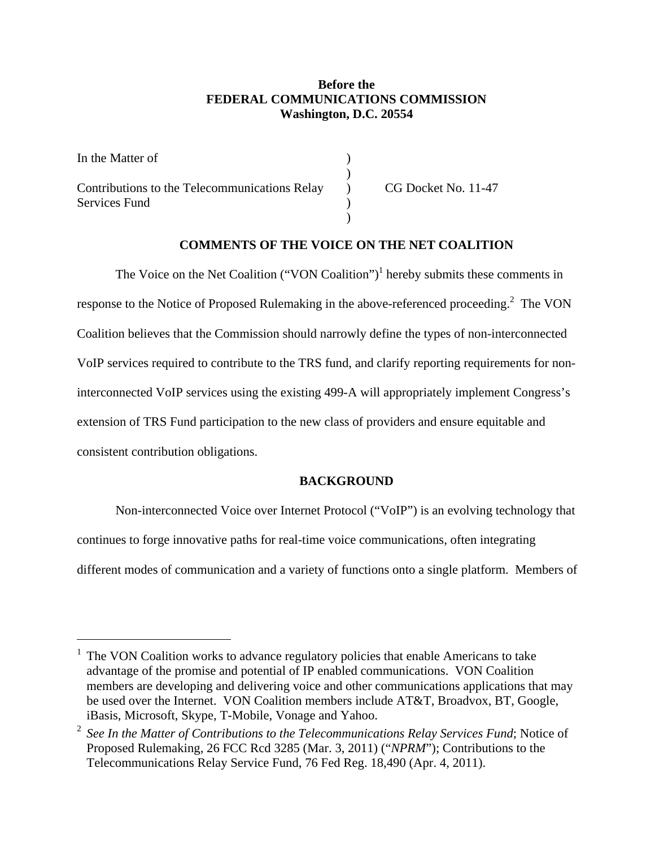# **Before the FEDERAL COMMUNICATIONS COMMISSION Washington, D.C. 20554**

| In the Matter of                                  |                     |
|---------------------------------------------------|---------------------|
|                                                   |                     |
| Contributions to the Telecommunications Relay (b) | CG Docket No. 11-47 |
| Services Fund                                     |                     |
|                                                   |                     |

# **COMMENTS OF THE VOICE ON THE NET COALITION**

The Voice on the Net Coalition  $("VON$  Coalition" $)^1$  hereby submits these comments in response to the Notice of Proposed Rulemaking in the above-referenced proceeding.<sup>2</sup> The VON Coalition believes that the Commission should narrowly define the types of non-interconnected VoIP services required to contribute to the TRS fund, and clarify reporting requirements for noninterconnected VoIP services using the existing 499-A will appropriately implement Congress's extension of TRS Fund participation to the new class of providers and ensure equitable and consistent contribution obligations.

### **BACKGROUND**

Non-interconnected Voice over Internet Protocol ("VoIP") is an evolving technology that continues to forge innovative paths for real-time voice communications, often integrating different modes of communication and a variety of functions onto a single platform. Members of

<sup>1</sup> The VON Coalition works to advance regulatory policies that enable Americans to take advantage of the promise and potential of IP enabled communications. VON Coalition members are developing and delivering voice and other communications applications that may be used over the Internet. VON Coalition members include AT&T, Broadvox, BT, Google, iBasis, Microsoft, Skype, T-Mobile, Vonage and Yahoo.

<sup>2</sup> *See In the Matter of Contributions to the Telecommunications Relay Services Fund*; Notice of Proposed Rulemaking, 26 FCC Rcd 3285 (Mar. 3, 2011) ("*NPRM*"); Contributions to the Telecommunications Relay Service Fund, 76 Fed Reg. 18,490 (Apr. 4, 2011).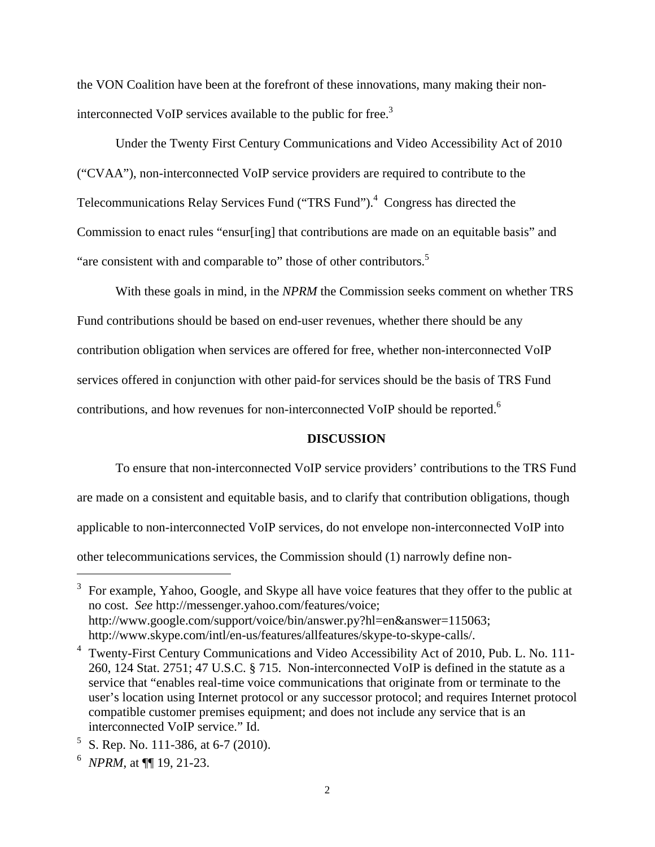the VON Coalition have been at the forefront of these innovations, many making their noninterconnected VoIP services available to the public for free.<sup>3</sup>

Under the Twenty First Century Communications and Video Accessibility Act of 2010 ("CVAA"), non-interconnected VoIP service providers are required to contribute to the Telecommunications Relay Services Fund ("TRS Fund").<sup>4</sup> Congress has directed the Commission to enact rules "ensur[ing] that contributions are made on an equitable basis" and "are consistent with and comparable to" those of other contributors.<sup>5</sup>

With these goals in mind, in the *NPRM* the Commission seeks comment on whether TRS Fund contributions should be based on end-user revenues, whether there should be any contribution obligation when services are offered for free, whether non-interconnected VoIP services offered in conjunction with other paid-for services should be the basis of TRS Fund contributions, and how revenues for non-interconnected VoIP should be reported.<sup>6</sup>

#### **DISCUSSION**

To ensure that non-interconnected VoIP service providers' contributions to the TRS Fund are made on a consistent and equitable basis, and to clarify that contribution obligations, though applicable to non-interconnected VoIP services, do not envelope non-interconnected VoIP into other telecommunications services, the Commission should (1) narrowly define non-

 $3\,$  For example, Yahoo, Google, and Skype all have voice features that they offer to the public at no cost. *See* http://messenger.yahoo.com/features/voice; http://www.google.com/support/voice/bin/answer.py?hl=en&answer=115063; http://www.skype.com/intl/en-us/features/allfeatures/skype-to-skype-calls/.

<sup>&</sup>lt;sup>4</sup> Twenty-First Century Communications and Video Accessibility Act of 2010, Pub. L. No. 111-260, 124 Stat. 2751; 47 U.S.C. § 715. Non-interconnected VoIP is defined in the statute as a service that "enables real-time voice communications that originate from or terminate to the user's location using Internet protocol or any successor protocol; and requires Internet protocol compatible customer premises equipment; and does not include any service that is an interconnected VoIP service." Id.

<sup>&</sup>lt;sup>5</sup> S. Rep. No. 111-386, at 6-7 (2010).

<sup>6</sup> *NPRM*, at ¶¶ 19, 21-23.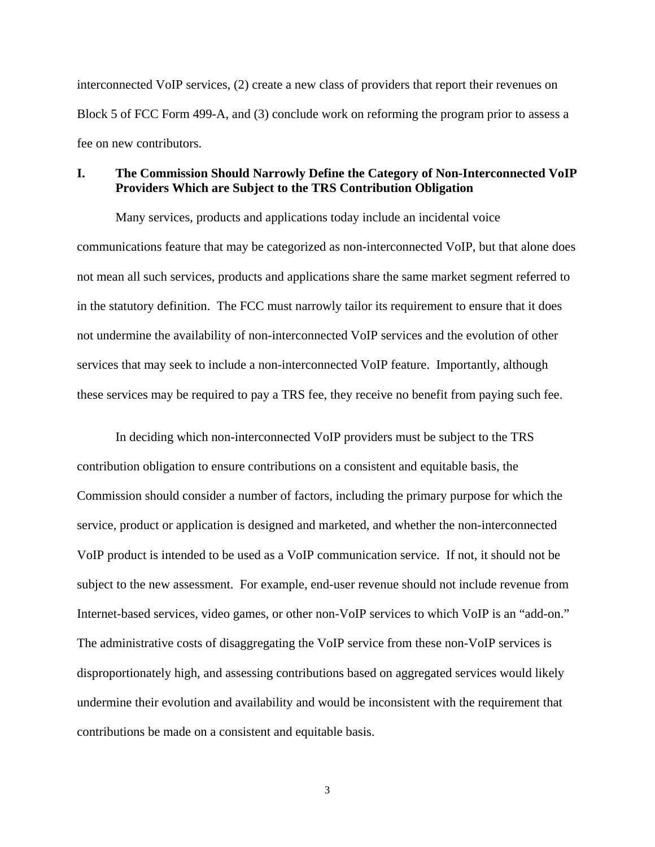interconnected VoIP services, (2) create a new class of providers that report their revenues on Block 5 of FCC Form 499-A, and (3) conclude work on reforming the program prior to assess a fee on new contributors.

### **I. The Commission Should Narrowly Define the Category of Non-Interconnected VoIP Providers Which are Subject to the TRS Contribution Obligation**

Many services, products and applications today include an incidental voice communications feature that may be categorized as non-interconnected VoIP, but that alone does not mean all such services, products and applications share the same market segment referred to in the statutory definition. The FCC must narrowly tailor its requirement to ensure that it does not undermine the availability of non-interconnected VoIP services and the evolution of other services that may seek to include a non-interconnected VoIP feature. Importantly, although these services may be required to pay a TRS fee, they receive no benefit from paying such fee.

In deciding which non-interconnected VoIP providers must be subject to the TRS contribution obligation to ensure contributions on a consistent and equitable basis, the Commission should consider a number of factors, including the primary purpose for which the service, product or application is designed and marketed, and whether the non-interconnected VoIP product is intended to be used as a VoIP communication service. If not, it should not be subject to the new assessment. For example, end-user revenue should not include revenue from Internet-based services, video games, or other non-VoIP services to which VoIP is an "add-on." The administrative costs of disaggregating the VoIP service from these non-VoIP services is disproportionately high, and assessing contributions based on aggregated services would likely undermine their evolution and availability and would be inconsistent with the requirement that contributions be made on a consistent and equitable basis.

3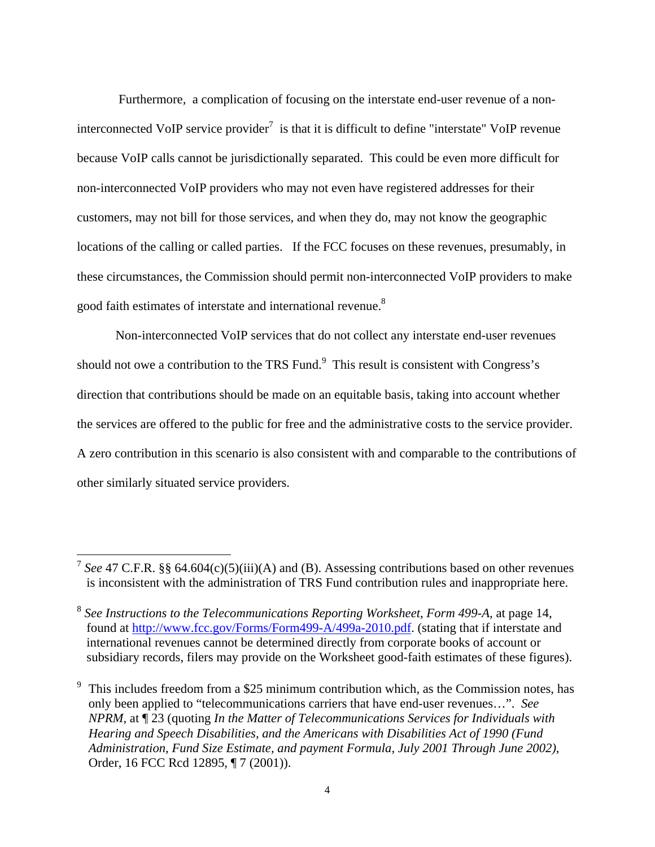Furthermore, a complication of focusing on the interstate end-user revenue of a noninterconnected VoIP service provider<sup>7</sup> is that it is difficult to define "interstate" VoIP revenue because VoIP calls cannot be jurisdictionally separated. This could be even more difficult for non-interconnected VoIP providers who may not even have registered addresses for their customers, may not bill for those services, and when they do, may not know the geographic locations of the calling or called parties. If the FCC focuses on these revenues, presumably, in these circumstances, the Commission should permit non-interconnected VoIP providers to make good faith estimates of interstate and international revenue.<sup>8</sup>

Non-interconnected VoIP services that do not collect any interstate end-user revenues should not owe a contribution to the TRS Fund. $\degree$  This result is consistent with Congress's direction that contributions should be made on an equitable basis, taking into account whether the services are offered to the public for free and the administrative costs to the service provider. A zero contribution in this scenario is also consistent with and comparable to the contributions of other similarly situated service providers.

<sup>&</sup>lt;sup>7</sup> *See* 47 C.F.R. §§ 64.604(c)(5)(iii)(A) and (B). Assessing contributions based on other revenues is inconsistent with the administration of TRS Fund contribution rules and inappropriate here.

<sup>8</sup> *See Instructions to the Telecommunications Reporting Worksheet, Form 499-A,* at page 14, found at http://www.fcc.gov/Forms/Form499-A/499a-2010.pdf. (stating that if interstate and international revenues cannot be determined directly from corporate books of account or subsidiary records, filers may provide on the Worksheet good-faith estimates of these figures).

<sup>9</sup> This includes freedom from a \$25 minimum contribution which, as the Commission notes, has only been applied to "telecommunications carriers that have end-user revenues…". *See NPRM*, at ¶ 23 (quoting *In the Matter of Telecommunications Services for Individuals with Hearing and Speech Disabilities, and the Americans with Disabilities Act of 1990 (Fund Administration, Fund Size Estimate, and payment Formula, July 2001 Through June 2002)*, Order, 16 FCC Rcd 12895, ¶ 7 (2001)).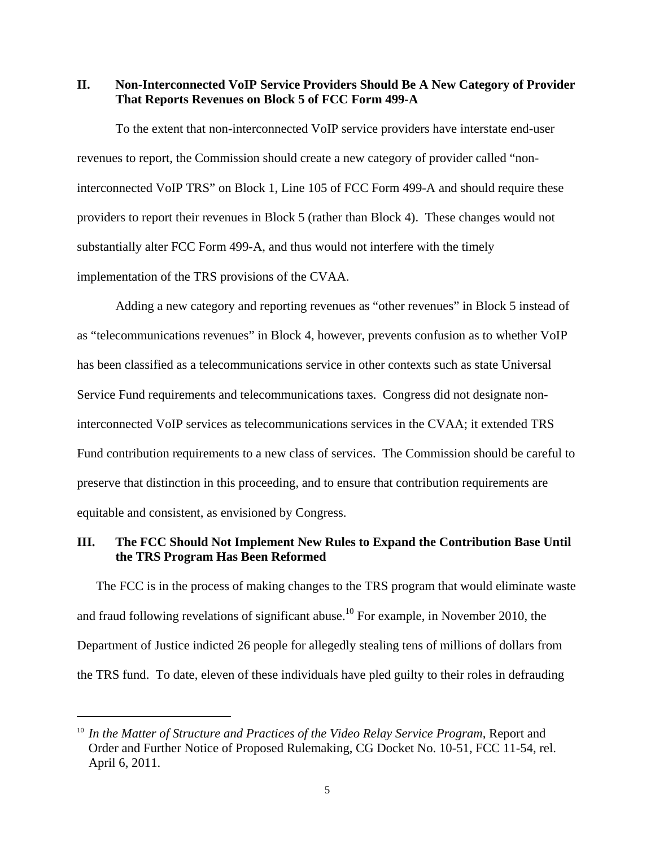**II. Non-Interconnected VoIP Service Providers Should Be A New Category of Provider That Reports Revenues on Block 5 of FCC Form 499-A** 

To the extent that non-interconnected VoIP service providers have interstate end-user revenues to report, the Commission should create a new category of provider called "noninterconnected VoIP TRS" on Block 1, Line 105 of FCC Form 499-A and should require these providers to report their revenues in Block 5 (rather than Block 4). These changes would not substantially alter FCC Form 499-A, and thus would not interfere with the timely implementation of the TRS provisions of the CVAA.

Adding a new category and reporting revenues as "other revenues" in Block 5 instead of as "telecommunications revenues" in Block 4, however, prevents confusion as to whether VoIP has been classified as a telecommunications service in other contexts such as state Universal Service Fund requirements and telecommunications taxes. Congress did not designate noninterconnected VoIP services as telecommunications services in the CVAA; it extended TRS Fund contribution requirements to a new class of services. The Commission should be careful to preserve that distinction in this proceeding, and to ensure that contribution requirements are equitable and consistent, as envisioned by Congress.

## **III. The FCC Should Not Implement New Rules to Expand the Contribution Base Until the TRS Program Has Been Reformed**

The FCC is in the process of making changes to the TRS program that would eliminate waste and fraud following revelations of significant abuse.<sup>10</sup> For example, in November 2010, the Department of Justice indicted 26 people for allegedly stealing tens of millions of dollars from the TRS fund. To date, eleven of these individuals have pled guilty to their roles in defrauding

<sup>&</sup>lt;sup>10</sup> In the Matter of Structure and Practices of the Video Relay Service Program, Report and Order and Further Notice of Proposed Rulemaking, CG Docket No. 10-51, FCC 11-54, rel. April 6, 2011.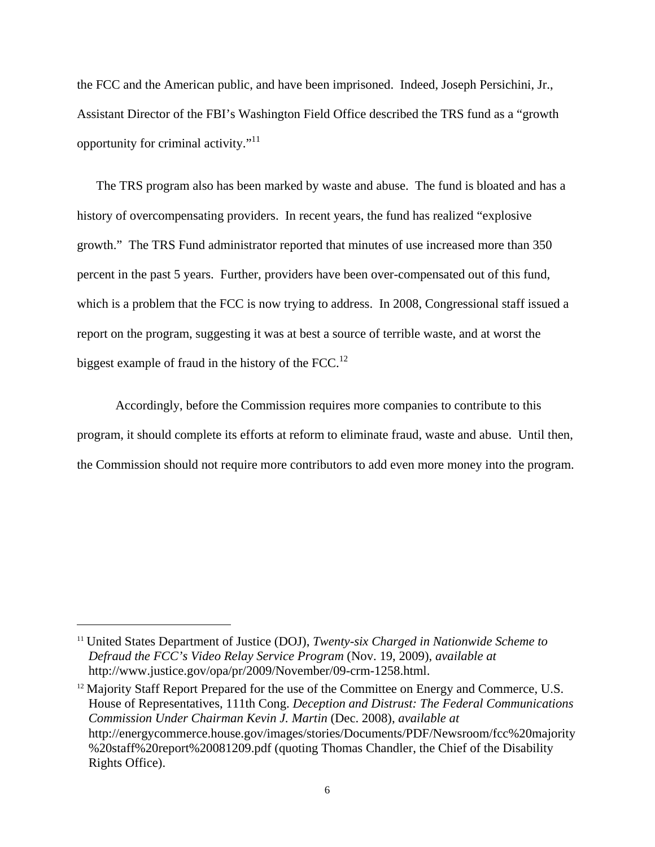the FCC and the American public, and have been imprisoned. Indeed, Joseph Persichini, Jr., Assistant Director of the FBI's Washington Field Office described the TRS fund as a "growth opportunity for criminal activity."<sup>11</sup>

The TRS program also has been marked by waste and abuse. The fund is bloated and has a history of overcompensating providers. In recent years, the fund has realized "explosive growth." The TRS Fund administrator reported that minutes of use increased more than 350 percent in the past 5 years. Further, providers have been over-compensated out of this fund, which is a problem that the FCC is now trying to address. In 2008, Congressional staff issued a report on the program, suggesting it was at best a source of terrible waste, and at worst the biggest example of fraud in the history of the FCC.<sup>12</sup>

 Accordingly, before the Commission requires more companies to contribute to this program, it should complete its efforts at reform to eliminate fraud, waste and abuse. Until then, the Commission should not require more contributors to add even more money into the program.

1

<sup>11</sup> United States Department of Justice (DOJ), *Twenty-six Charged in Nationwide Scheme to Defraud the FCC's Video Relay Service Program* (Nov. 19, 2009), *available at* http://www.justice.gov/opa/pr/2009/November/09-crm-1258.html.

 $12$  Majority Staff Report Prepared for the use of the Committee on Energy and Commerce, U.S. House of Representatives, 111th Cong. *Deception and Distrust: The Federal Communications Commission Under Chairman Kevin J. Martin* (Dec. 2008), *available at*  http://energycommerce.house.gov/images/stories/Documents/PDF/Newsroom/fcc%20majority %20staff%20report%20081209.pdf (quoting Thomas Chandler, the Chief of the Disability Rights Office).